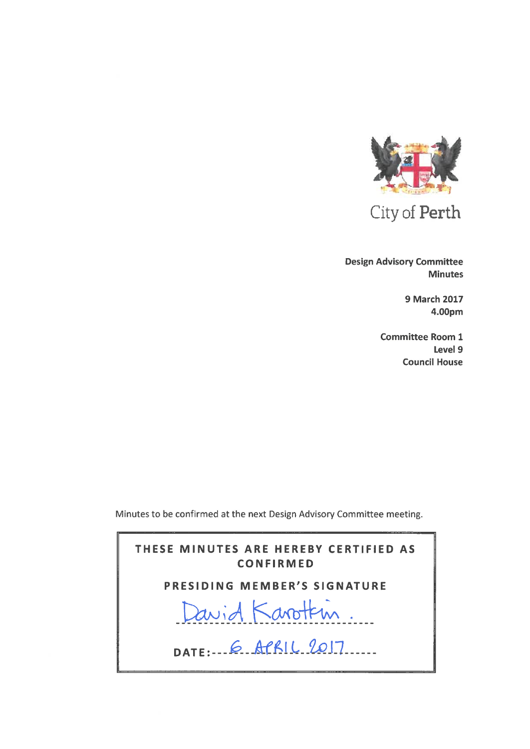

**Design Advisory Committee Minutes** 

> **9 March 2017** 4.00pm

**Committee Room 1** Level 9 **Council House** 

Minutes to be confirmed at the next Design Advisory Committee meeting.

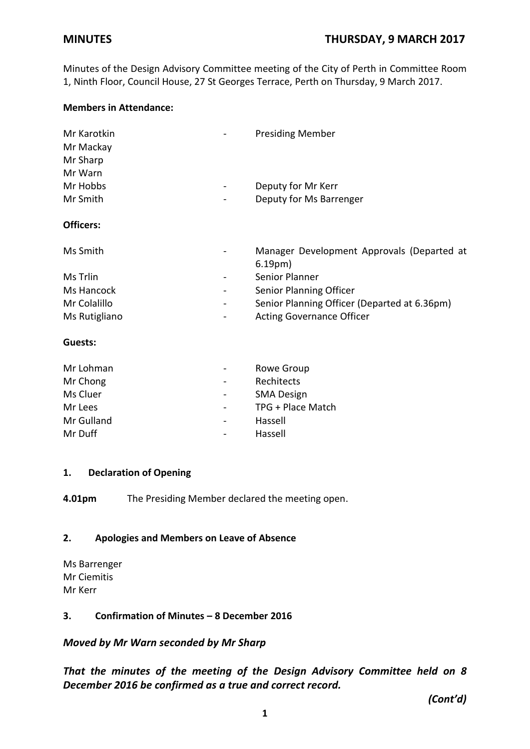Minutes of the Design Advisory Committee meeting of the City of Perth in Committee Room 1, Ninth Floor, Council House, 27 St Georges Terrace, Perth on Thursday, 9 March 2017.

## **Members in Attendance:**

| Mr Karotkin   |                          | <b>Presiding Member</b>                                          |
|---------------|--------------------------|------------------------------------------------------------------|
| Mr Mackay     |                          |                                                                  |
| Mr Sharp      |                          |                                                                  |
| Mr Warn       |                          |                                                                  |
| Mr Hobbs      |                          | Deputy for Mr Kerr                                               |
| Mr Smith      |                          | Deputy for Ms Barrenger                                          |
| Officers:     |                          |                                                                  |
| Ms Smith      |                          | Manager Development Approvals (Departed at<br>6.19 <sub>pm</sub> |
| Ms Trlin      |                          | Senior Planner                                                   |
| Ms Hancock    |                          | Senior Planning Officer                                          |
| Mr Colalillo  | $\overline{\phantom{0}}$ | Senior Planning Officer (Departed at 6.36pm)                     |
| Ms Rutigliano |                          | <b>Acting Governance Officer</b>                                 |
|               |                          |                                                                  |

#### **Guests:**

| Mr Lohman  | Rowe Group        |
|------------|-------------------|
| Mr Chong   | Rechitects        |
| Ms Cluer   | <b>SMA Design</b> |
| Mr Lees    | TPG + Place Match |
| Mr Gulland | Hassell           |
| Mr Duff    | Hassell           |

## **1. Declaration of Opening**

**4.01pm** The Presiding Member declared the meeting open.

## **2. Apologies and Members on Leave of Absence**

Ms Barrenger Mr Ciemitis Mr Kerr

## **3. Confirmation of Minutes – 8 December 2016**

*Moved by Mr Warn seconded by Mr Sharp*

*That the minutes of the meeting of the Design Advisory Committee held on 8 December 2016 be confirmed as a true and correct record.*

*(Cont'd)*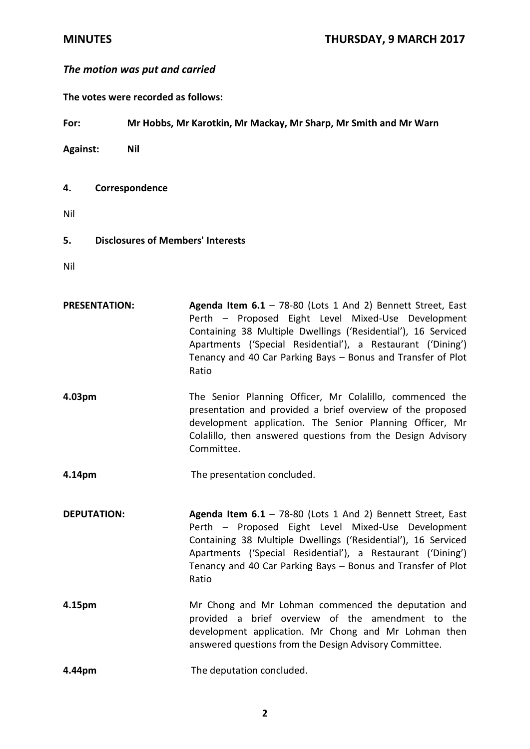# *The motion was put and carried*

# **The votes were recorded as follows:**

**For: Mr Hobbs, Mr Karotkin, Mr Mackay, Mr Sharp, Mr Smith and Mr Warn**

**Against: Nil**

- **4. Correspondence**
- Nil
- **5. Disclosures of Members' Interests**
- Nil

| <b>PRESENTATION:</b> | Agenda Item $6.1 - 78-80$ (Lots 1 And 2) Bennett Street, East<br>Perth - Proposed Eight Level Mixed-Use Development<br>Containing 38 Multiple Dwellings ('Residential'), 16 Serviced<br>Apartments ('Special Residential'), a Restaurant ('Dining')<br>Tenancy and 40 Car Parking Bays - Bonus and Transfer of Plot<br>Ratio |
|----------------------|------------------------------------------------------------------------------------------------------------------------------------------------------------------------------------------------------------------------------------------------------------------------------------------------------------------------------|
| 4.03pm               | The Senior Planning Officer, Mr Colalillo, commenced the<br>presentation and provided a brief overview of the proposed<br>development application. The Senior Planning Officer, Mr<br>Colalillo, then answered questions from the Design Advisory<br>Committee.                                                              |
| 4.14pm               | The presentation concluded.                                                                                                                                                                                                                                                                                                  |
| <b>DEPUTATION:</b>   | Agenda Item $6.1 - 78-80$ (Lots 1 And 2) Bennett Street, East<br>Perth - Proposed Eight Level Mixed-Use Development<br>Containing 38 Multiple Dwellings ('Residential'), 16 Serviced<br>Apartments ('Special Residential'), a Restaurant ('Dining')<br>Tenancy and 40 Car Parking Bays - Bonus and Transfer of Plot<br>Ratio |
| 4.15pm               | Mr Chong and Mr Lohman commenced the deputation and<br>provided a brief overview of the amendment to the<br>development application. Mr Chong and Mr Lohman then<br>answered questions from the Design Advisory Committee.                                                                                                   |
|                      |                                                                                                                                                                                                                                                                                                                              |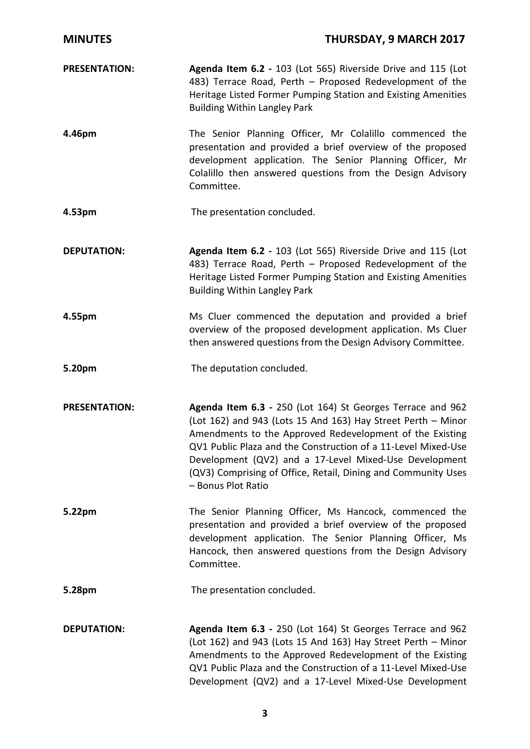- **PRESENTATION: Agenda Item 6.2 -** 103 (Lot 565) Riverside Drive and 115 (Lot 483) Terrace Road, Perth – Proposed Redevelopment of the Heritage Listed Former Pumping Station and Existing Amenities Building Within Langley Park
- **4.46pm** The Senior Planning Officer, Mr Colalillo commenced the presentation and provided a brief overview of the proposed development application. The Senior Planning Officer, Mr Colalillo then answered questions from the Design Advisory Committee.
- **4.53pm** The presentation concluded.
- **DEPUTATION: Agenda Item 6.2 -** 103 (Lot 565) Riverside Drive and 115 (Lot 483) Terrace Road, Perth – Proposed Redevelopment of the Heritage Listed Former Pumping Station and Existing Amenities Building Within Langley Park
- **4.55pm** Ms Cluer commenced the deputation and provided a brief overview of the proposed development application. Ms Cluer then answered questions from the Design Advisory Committee.
- **5.20pm** The deputation concluded.
- **PRESENTATION: Agenda Item 6.3 -** 250 (Lot 164) St Georges Terrace and 962 (Lot 162) and 943 (Lots 15 And 163) Hay Street Perth – Minor Amendments to the Approved Redevelopment of the Existing QV1 Public Plaza and the Construction of a 11-Level Mixed-Use Development (QV2) and a 17-Level Mixed-Use Development (QV3) Comprising of Office, Retail, Dining and Community Uses – Bonus Plot Ratio
- **5.22pm** The Senior Planning Officer, Ms Hancock, commenced the presentation and provided a brief overview of the proposed development application. The Senior Planning Officer, Ms Hancock, then answered questions from the Design Advisory Committee.
- **5.28pm** The presentation concluded.
- **DEPUTATION: Agenda Item 6.3 -** 250 (Lot 164) St Georges Terrace and 962 (Lot 162) and 943 (Lots 15 And 163) Hay Street Perth – Minor Amendments to the Approved Redevelopment of the Existing QV1 Public Plaza and the Construction of a 11-Level Mixed-Use Development (QV2) and a 17-Level Mixed-Use Development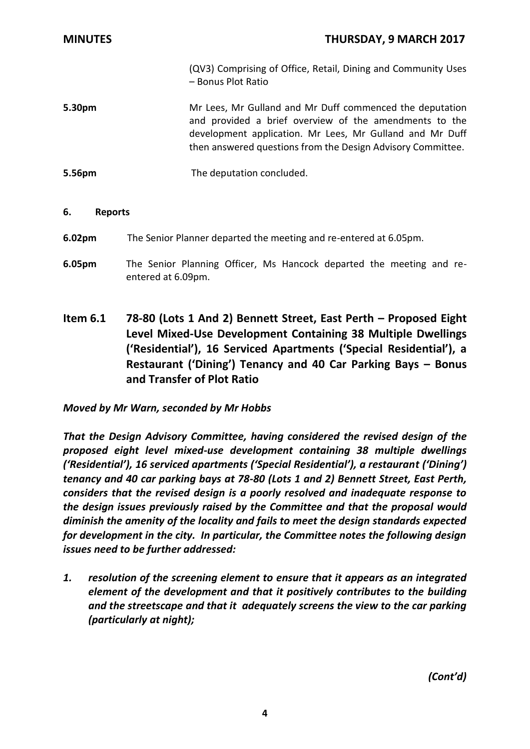(QV3) Comprising of Office, Retail, Dining and Community Uses – Bonus Plot Ratio

**5.30pm** Mr Lees, Mr Gulland and Mr Duff commenced the deputation and provided a brief overview of the amendments to the development application. Mr Lees, Mr Gulland and Mr Duff then answered questions from the Design Advisory Committee.

**5.56pm** The deputation concluded.

### **6. Reports**

- **6.02pm** The Senior Planner departed the meeting and re-entered at 6.05pm.
- **6.05pm** The Senior Planning Officer, Ms Hancock departed the meeting and reentered at 6.09pm.
- **Item 6.1 78-80 (Lots 1 And 2) Bennett Street, East Perth – Proposed Eight Level Mixed-Use Development Containing 38 Multiple Dwellings ('Residential'), 16 Serviced Apartments ('Special Residential'), a Restaurant ('Dining') Tenancy and 40 Car Parking Bays – Bonus and Transfer of Plot Ratio**

*Moved by Mr Warn, seconded by Mr Hobbs*

*That the Design Advisory Committee, having considered the revised design of the proposed eight level mixed-use development containing 38 multiple dwellings ('Residential'), 16 serviced apartments ('Special Residential'), a restaurant ('Dining') tenancy and 40 car parking bays at 78-80 (Lots 1 and 2) Bennett Street, East Perth, considers that the revised design is a poorly resolved and inadequate response to the design issues previously raised by the Committee and that the proposal would diminish the amenity of the locality and fails to meet the design standards expected for development in the city. In particular, the Committee notes the following design issues need to be further addressed:*

*1. resolution of the screening element to ensure that it appears as an integrated element of the development and that it positively contributes to the building and the streetscape and that it adequately screens the view to the car parking (particularly at night);*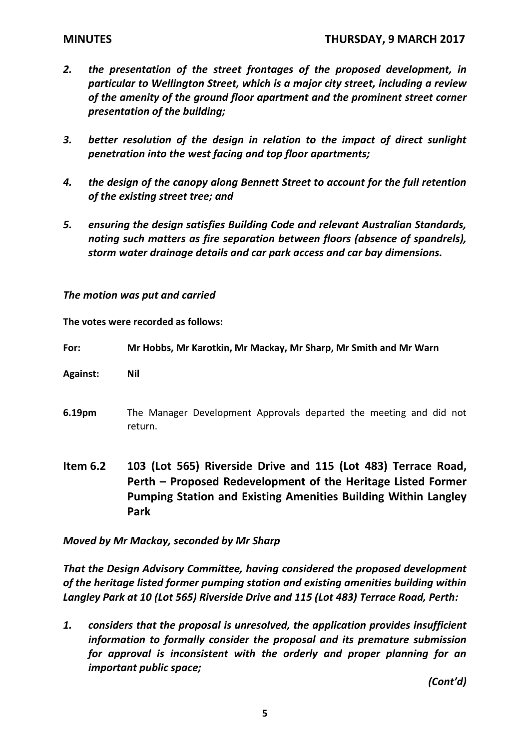- *2. the presentation of the street frontages of the proposed development, in particular to Wellington Street, which is a major city street, including a review of the amenity of the ground floor apartment and the prominent street corner presentation of the building;*
- *3. better resolution of the design in relation to the impact of direct sunlight penetration into the west facing and top floor apartments;*
- *4. the design of the canopy along Bennett Street to account for the full retention of the existing street tree; and*
- *5. ensuring the design satisfies Building Code and relevant Australian Standards, noting such matters as fire separation between floors (absence of spandrels), storm water drainage details and car park access and car bay dimensions.*

## *The motion was put and carried*

**The votes were recorded as follows:**

**For: Mr Hobbs, Mr Karotkin, Mr Mackay, Mr Sharp, Mr Smith and Mr Warn**

**Against: Nil**

- **6.19pm** The Manager Development Approvals departed the meeting and did not return.
- **Item 6.2 103 (Lot 565) Riverside Drive and 115 (Lot 483) Terrace Road, Perth – Proposed Redevelopment of the Heritage Listed Former Pumping Station and Existing Amenities Building Within Langley Park**

*Moved by Mr Mackay, seconded by Mr Sharp*

*That the Design Advisory Committee, having considered the proposed development of the heritage listed former pumping station and existing amenities building within Langley Park at 10 (Lot 565) Riverside Drive and 115 (Lot 483) Terrace Road, Perth:*

*1. considers that the proposal is unresolved, the application provides insufficient information to formally consider the proposal and its premature submission for approval is inconsistent with the orderly and proper planning for an important public space;*

*(Cont'd)*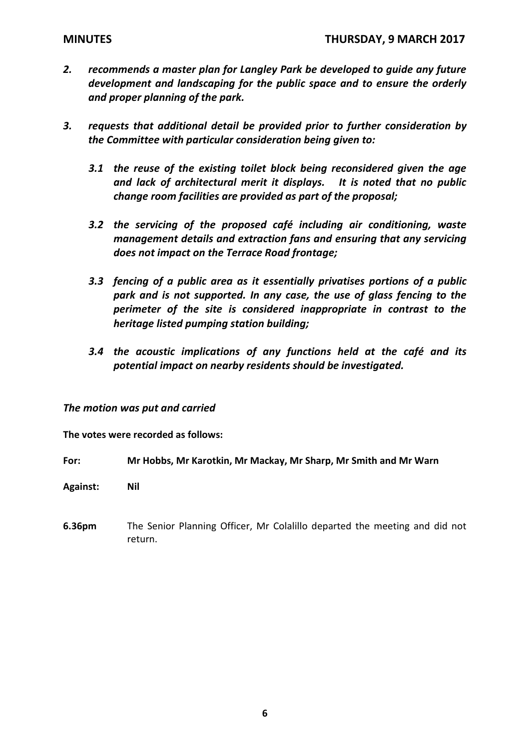- *2. recommends a master plan for Langley Park be developed to guide any future development and landscaping for the public space and to ensure the orderly and proper planning of the park.*
- *3. requests that additional detail be provided prior to further consideration by the Committee with particular consideration being given to:*
	- *3.1 the reuse of the existing toilet block being reconsidered given the age and lack of architectural merit it displays. It is noted that no public change room facilities are provided as part of the proposal;*
	- *3.2 the servicing of the proposed café including air conditioning, waste management details and extraction fans and ensuring that any servicing does not impact on the Terrace Road frontage;*
	- *3.3 fencing of a public area as it essentially privatises portions of a public park and is not supported. In any case, the use of glass fencing to the perimeter of the site is considered inappropriate in contrast to the heritage listed pumping station building;*
	- *3.4 the acoustic implications of any functions held at the café and its potential impact on nearby residents should be investigated.*

## *The motion was put and carried*

**The votes were recorded as follows:**

**For: Mr Hobbs, Mr Karotkin, Mr Mackay, Mr Sharp, Mr Smith and Mr Warn**

- **Against: Nil**
- **6.36pm** The Senior Planning Officer, Mr Colalillo departed the meeting and did not return.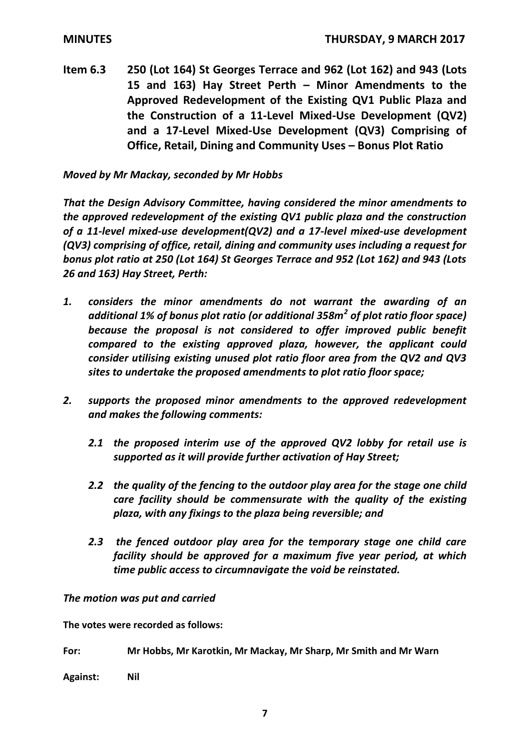**Item 6.3 250 (Lot 164) St Georges Terrace and 962 (Lot 162) and 943 (Lots 15 and 163) Hay Street Perth – Minor Amendments to the Approved Redevelopment of the Existing QV1 Public Plaza and the Construction of a 11-Level Mixed-Use Development (QV2) and a 17-Level Mixed-Use Development (QV3) Comprising of Office, Retail, Dining and Community Uses – Bonus Plot Ratio** 

# *Moved by Mr Mackay, seconded by Mr Hobbs*

*That the Design Advisory Committee, having considered the minor amendments to the approved redevelopment of the existing QV1 public plaza and the construction of a 11-level mixed-use development(QV2) and a 17-level mixed-use development (QV3) comprising of office, retail, dining and community uses including a request for bonus plot ratio at 250 (Lot 164) St Georges Terrace and 952 (Lot 162) and 943 (Lots 26 and 163) Hay Street, Perth:*

- *1. considers the minor amendments do not warrant the awarding of an additional 1% of bonus plot ratio (or additional 358m<sup>2</sup> of plot ratio floor space) because the proposal is not considered to offer improved public benefit compared to the existing approved plaza, however, the applicant could consider utilising existing unused plot ratio floor area from the QV2 and QV3 sites to undertake the proposed amendments to plot ratio floor space;*
- *2. supports the proposed minor amendments to the approved redevelopment and makes the following comments:*
	- *2.1 the proposed interim use of the approved QV2 lobby for retail use is supported as it will provide further activation of Hay Street;*
	- *2.2 the quality of the fencing to the outdoor play area for the stage one child care facility should be commensurate with the quality of the existing plaza, with any fixings to the plaza being reversible; and*
	- *2.3 the fenced outdoor play area for the temporary stage one child care facility should be approved for a maximum five year period, at which time public access to circumnavigate the void be reinstated.*

## *The motion was put and carried*

**The votes were recorded as follows:**

**For: Mr Hobbs, Mr Karotkin, Mr Mackay, Mr Sharp, Mr Smith and Mr Warn**

**Against: Nil**